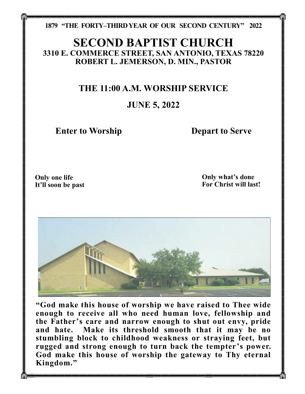**1879 "THE FORTY–THIRD YEAR OF OUR SECOND CENTURY" 2022**

# **SECOND BAPTIST CHURCH 3310 E. COMMERCE STREET, SAN ANTONIO, TEXAS 78220 ROBERT L. JEMERSON, D. MIN., PASTOR**

# **THE 11:00 A.M. WORSHIP SERVICE**

# **JUNE 5, 2022**

**Enter to Worship Depart to Serve** 

**Only one life It'll soon be past** **Only what's done For Christ will last!**



**"God make this house of worship we have raised to Thee wide enough to receive all who need human love, fellowship and the Father's care and narrow enough to shut out envy, pride and hate. Make its threshold smooth that it may be no stumbling block to childhood weakness or straying feet, but rugged and strong enough to turn back the tempter's power. God make this house of worship the gateway to Thy eternal Kingdom."**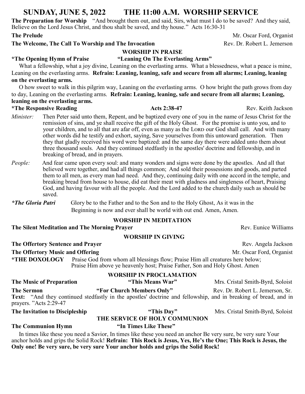# **SUNDAY, JUNE 5, 2022 THE 11:00 A.M. WORSHIP SERVICE**

**The Preparation for Worship** "And brought them out, and said, Sirs, what must I do to be saved? And they said, Believe on the Lord Jesus Christ, and thou shalt be saved, and thy house." Acts 16:30-31

## **The Prelude** Mr. Oscar Ford, Organist

## **The Welcome, The Call To Worship and The Invocation** Rev. Dr. Robert L. Jemerson

# **WORSHIP IN PRAISE**

**\*The Opening Hymn of Praise "Leaning On The Everlasting Arms"**

What a fellowship, what a joy divine, Leaning on the everlasting arms. What a blessedness, what a peace is mine, Leaning on the everlasting arms. **Refrain: Leaning, leaning, safe and secure from all alarms; Leaning, leaning on the everlasting arms.**

O how sweet to walk in this pilgrim way, Leaning on the everlasting arms. O how bright the path grows from day to day, Leaning on the everlasting arms. **Refrain: Leaning, leaning, safe and secure from all alarms; Leaning, leaning on the everlasting arms.**

#### \*The Responsive Reading **Acts 2:38-47** Rev. Keith Jackson

- *Minister:* Then Peter said unto them, Repent, and be baptized every one of you in the name of Jesus Christ for the remission of sins, and ye shall receive the gift of the Holy Ghost. For the promise is unto you, and to your children, and to all that are afar off, even as many as the LORD our God shall call. And with many other words did he testify and exhort, saying, Save yourselves from this untoward generation. Then they that gladly received his word were baptized: and the same day there were added unto them about three thousand souls. And they continued stedfastly in the apostles' doctrine and fellowship, and in breaking of bread, and in prayers.
- *People:* And fear came upon every soul: and many wonders and signs were done by the apostles. And all that believed were together, and had all things common; And sold their possessions and goods, and parted them to all men, as every man had need. And they, continuing daily with one accord in the temple, and breaking bread from house to house, did eat their meat with gladness and singleness of heart, Praising God, and having favour with all the people. And the Lord added to the church daily such as should be saved.

*\*The Gloria Patri* Glory be to the Father and to the Son and to the Holy Ghost, As it was in the Beginning is now and ever shall be world with out end. Amen, Amen.

#### **WORSHIP IN MEDITATION**

**The Silent Meditation and The Morning Prayer <b>Rev. Eunice Williams** Rev. Eunice Williams

## **WORSHIP IN GIVING**

**The Offertory Music and Offering**  Mr. Oscar Ford, Organist **Mr. Oscar Ford, Organist \*THE DOXOLOGY** Praise God from whom all blessings flow; Praise Him all creatures here below; Praise Him above ye heavenly host; Praise Father, Son and Holy Ghost. Amen **WORSHIP IN PROCLAMATION**

| The Music of Preparation | "This Means War"                                                                                                | Mrs. Cristal Smith-Byrd, Soloist |
|--------------------------|-----------------------------------------------------------------------------------------------------------------|----------------------------------|
| <b>The Sermon</b>        | "For Church Members Only"                                                                                       | Rev. Dr. Robert L. Jemerson, Sr. |
| prayers. "Acts 2:29-47"  | Text: "And they continued stedfastly in the apostles' doctrine and fellowship, and in breaking of bread, and in |                                  |

## **THE SERVICE OF HOLY COMMUNION**

**The Invitation to Discipleship <b>"This Day**" Mrs. Cristal Smith-Byrd, Soloist

### **The Communion Hymn "In Times Like These"**

 In times like these you need a Savior, In times like these you need an anchor Be very sure, be very sure Your anchor holds and grips the Solid Rock! **Refrain: This Rock is Jesus, Yes, He's the One; This Rock is Jesus, the Only one! Be very sure, be very sure Your anchor holds and grips the Solid Rock!**

**The Offertory Sentence and Prayer**  Rev. Angela Jackson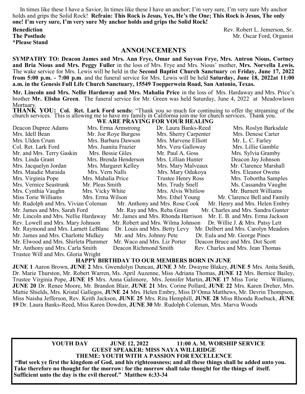In times like these I have a Savior, In times like these I have an anchor; I'm very sure, I'm very sure My anchor holds and grips the Solid Rock! **Refrain: This Rock is Jesus, Yes, He's the One; This Rock is Jesus, The only one! I'm very sure, I'm very sure My anchor holds and grips the Solid Rock!** 

**\*Please Stand**

Trustee Will and Mrs. Gloria Wright

**Benediction Rev. Robert L. Jemerson, Sr. Rev. Robert L. Jemerson, Sr. The Postlude**  Mr. Oscar Ford, Organist **Mr. Oscar Ford, Organist** 

### **ANNOUNCEMENTS**

**SYMPATHY TO: Deacon James and Mrs. Ann Frye, Omar and Sayvon Frye, Mrs. Antron Nious, Cortney and Bria Nious and Mrs. Peggy Fuller** in the loss of Mrs. Frye and Mrs. Nious' mother, **Mrs. Norvella Lewis.**  The wake service for Mrs. Lewis will be held in the **Second Baptist Church Sanctuary** on **Friday, June 17, 2022 from 5:00 p.m. - 7:00 p.m**. and the funeral service for Mrs. Lewis will be held **Saturday, June 18, 2022at 11:00 a.m. in the Genesis Full Life Church Sanctuary, 15549 Toepperwein Road, San Antonio, Texas.**

**Mr. Lincoln and Mrs. Nellie Hardaway and Mrs. Mahalia Price** in the loss of Mrs. Hardaway and Mrs. Price's brother **Mr. Elisha Green**. The funeral service for Mr. Green was held Saturday, June 4, 2022 at Meadowlawn Mortuary.

**THANK YOU: Col. Ret. Lark Ford sends:** "Thank you so much for continuing to offer the streaming of the church services. This is allowing me to have my family in California join me for church services. Thank you.

 **WE ARE PRAYING FOR YOUR HEALING** Deacon Dupree Adams Mrs. Erma Armstrong Dr. Laura Banks-Reed Mrs. Roslyn Barksdale Mrs. Idell Bean Mr. Joe Roye Burgess Mrs. Sherry Carpenter Mrs. Denese Carter Mrs. Ulden Crum Mrs. Barbara Dawson Mrs. Marvene Elliott Mr. L. C. Farley Col. Ret. Lark Ford Mrs. Juanita Frazier Mrs. Vera Galloway Mrs. Lillie Gamble Mr. and Mrs. Terry Gaskin Mrs. Bessie Giles Mr. Paul A. Goss Mrs. Sylvia Gramby Mrs. Linda Grant Mrs. Brenda Henderson Mrs. Lillian Hunter Deacon Jay Johnson Mrs. Jacquelyn Jordan Mrs. Margaret Kelley Mrs. Mary Malveaux Mr. Clarence Marshall Mrs. Maudie Muraida Mrs. Vern Nalls Mrs. Mary Odukoya Mrs. Eleanor Owens<br>Mrs. Virginia Pope Mrs. Mahalia Price Trustee Henry Ross Mrs. Tobortha Samp Mrs. Virginia Pope Mrs. Mahalia Price Trustee Henry Ross Mrs. Tobortha Samples Mrs. Vernice Seastrunk Mr. Pleas Smith Mrs. Trudy Snell Mrs. Cassandra Vaughn Mrs. Cynthia Vaughn Mrs. Vicky White Mrs. Alvis Whitlow Mr. Burnett Williams Miss Torie Williams Mrs. Erma Wilson Mrs. Ethel Young Mr. Clarence Bell and Family Mr. Rudolph and Mrs. Vivian Coleman Mr. Anthony and Mrs. Rose Cook Mr. Henry and Mrs. Helen Embry Mr. James and Mrs. Sarah Ford Mr. Ray and Mrs. Reba Grant Mr. Charles and Mrs. Sandra Gunter Mr. Lincoln and Mrs. Nellie Hardaway Mr. James and Mrs. Rhonda Harrison Mr. E. B. and Mrs. Erma Jackson Rev. Lowell and Mrs. Mary Johnson Mr. Robert and Mrs. Wilma Johnson Dr. Willie J. & Mrs. Patsy Lett Mr. Raymond and Mrs. Larnett LeBlanc Dr. Louis and Mrs. Betty Levy Mr. Delbert and Mrs. Carolyn Meadors Mr. James and Mrs. Charlotte Mulkey Mr. and Mrs. Johnny Pete Dr. Eula and Mr. George Pines Mr. Elwood and Mrs. Shirleta Plummer Mr. Waco and Mrs. Liz Porter Deacon Bruce and Mrs. Dot Scott Mr. Anthony and Mrs. Carla Smith Deacon Richmond Smith Rev. Charles and Mrs. Jean Thomas

#### **HAPPY BIRTHDAY TO OUR MEMBERS BORN IN JUNE**

**JUNE 1** Aaron Brown, **JUNE 2** Mrs. Gwendolyn Duncan, **JUNE 3** Mr. Dwayne Blakey, **JUNE 5** Mrs. Anita Smith, Dr. Marie Thurston, Mr. Robert Warren, Ms. April Auzenne, Miss Adriana Thomas, **JUNE 12** Mrs. Bernice Bailey, Trustee Virginia Pope, **JUNE 15** Mrs. Anna Galimore, Mrs. Jennifer Martin, **JUNE 17** Miss Torie Williams, **JUNE 20** Dr. Renee Moore, Mr. Brandon Blair, **JUNE 21** Mrs. Corine Pollard, **JUNE 22** Mrs. Karen Dreher, Mrs. Mattie Shields, Mrs. Kristal Gallegos, **JUNE 24** Mrs. Helen Embry, Miss D'Onna Matthews, Mr. Devrin Thompson, Miss Naisha Jefferson, Rev. Keith Jackson, **JUNE 25** Mrs. Rita Hemphill, **JUNE 28** Miss Rhonda Roebuck, **JUNE 19** Dr. Laura Banks-Reed, Miss Karen Dowden, **JUNE 30** Mr. Rudolph Coleman, Mrs. Marva Woods

 **YOUTH DAY JUNE 12, 2022 11:00 A. M. WORSHIP SERVICE GUEST SPEAKER: MISS NAYA WILLRIDGE THEME: YOUTH WITH A PASSION FOR EXCELLENCE** 

**"But seek ye first the kingdom of God, and his righteousness; and all these things shall be added unto you. Take therefore no thought for the morrow: for the morrow shall take thought for the things of itself. Sufficient unto the day is the evil thereof." Matthew 6:33-34**